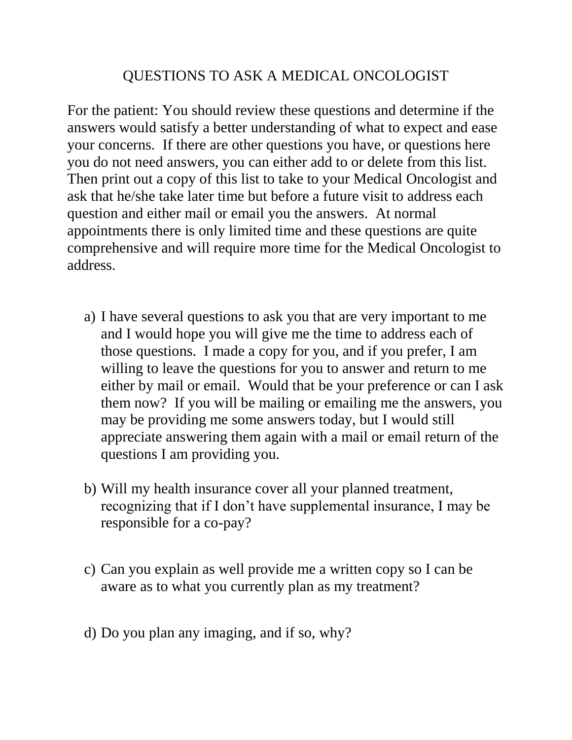## QUESTIONS TO ASK A MEDICAL ONCOLOGIST

For the patient: You should review these questions and determine if the answers would satisfy a better understanding of what to expect and ease your concerns. If there are other questions you have, or questions here you do not need answers, you can either add to or delete from this list. Then print out a copy of this list to take to your Medical Oncologist and ask that he/she take later time but before a future visit to address each question and either mail or email you the answers. At normal appointments there is only limited time and these questions are quite comprehensive and will require more time for the Medical Oncologist to address.

- a) I have several questions to ask you that are very important to me and I would hope you will give me the time to address each of those questions. I made a copy for you, and if you prefer, I am willing to leave the questions for you to answer and return to me either by mail or email. Would that be your preference or can I ask them now? If you will be mailing or emailing me the answers, you may be providing me some answers today, but I would still appreciate answering them again with a mail or email return of the questions I am providing you.
- b) Will my health insurance cover all your planned treatment, recognizing that if I don't have supplemental insurance, I may be responsible for a co-pay?
- c) Can you explain as well provide me a written copy so I can be aware as to what you currently plan as my treatment?
- d) Do you plan any imaging, and if so, why?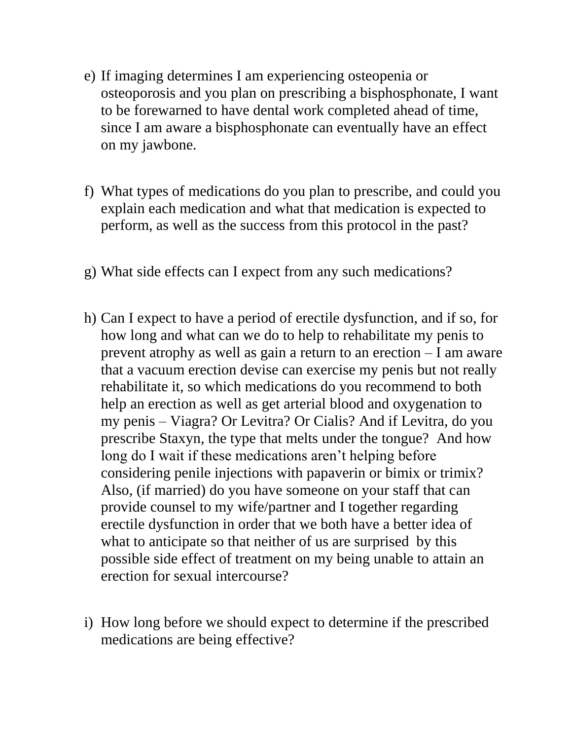- e) If imaging determines I am experiencing osteopenia or osteoporosis and you plan on prescribing a bisphosphonate, I want to be forewarned to have dental work completed ahead of time, since I am aware a bisphosphonate can eventually have an effect on my jawbone.
- f) What types of medications do you plan to prescribe, and could you explain each medication and what that medication is expected to perform, as well as the success from this protocol in the past?
- g) What side effects can I expect from any such medications?
- h) Can I expect to have a period of erectile dysfunction, and if so, for how long and what can we do to help to rehabilitate my penis to prevent atrophy as well as gain a return to an erection – I am aware that a vacuum erection devise can exercise my penis but not really rehabilitate it, so which medications do you recommend to both help an erection as well as get arterial blood and oxygenation to my penis – Viagra? Or Levitra? Or Cialis? And if Levitra, do you prescribe Staxyn, the type that melts under the tongue? And how long do I wait if these medications aren't helping before considering penile injections with papaverin or bimix or trimix? Also, (if married) do you have someone on your staff that can provide counsel to my wife/partner and I together regarding erectile dysfunction in order that we both have a better idea of what to anticipate so that neither of us are surprised by this possible side effect of treatment on my being unable to attain an erection for sexual intercourse?
- i) How long before we should expect to determine if the prescribed medications are being effective?